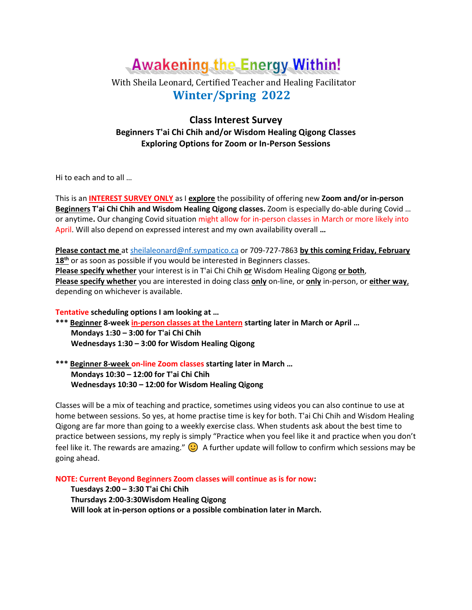# **Awakening the Energy Within!**

## With Sheila Leonard, Certified Teacher and Healing Facilitator  **Winter/Spring 2022**

## **Class Interest Survey Beginners T'ai Chi Chih and/or Wisdom Healing Qigong Classes Exploring Options for Zoom or In-Person Sessions**

Hi to each and to all …

This is an **INTEREST SURVEY ONLY** as I **explore** the possibility of offering new **Zoom and/or in-person Beginners T'ai Chi Chih and Wisdom Healing Qigong classes.** Zoom is especially do-able during Covid … or anytime**.** Our changing Covid situation might allow for in-person classes in March or more likely into April. Will also depend on expressed interest and my own availability overall **…** 

**Please contact me** at [sheilaleonard@nf.sympatico.ca](mailto:sheilaleonard@nf.sympatico.ca) or 709-727-7863 **by this coming Friday, February**  18<sup>th</sup> or as soon as possible if you would be interested in Beginners classes. **Please specify whether** your interest is in T'ai Chi Chih **or** Wisdom Healing Qigong **or both**, **Please specify whether** you are interested in doing class **only** on-line, or **only** in-person, or **either way**, depending on whichever is available.

**Tentative scheduling options I am looking at …** 

**\*\*\* Beginner 8-week in-person classes at the Lantern starting later in March or April … Mondays 1:30 – 3:00 for T'ai Chi Chih Wednesdays 1:30 – 3:00 for Wisdom Healing Qigong** 

**\*\*\* Beginner 8-week on-line Zoom classes starting later in March … Mondays 10:30 – 12:00 for T'ai Chi Chih Wednesdays 10:30 – 12:00 for Wisdom Healing Qigong** 

Classes will be a mix of teaching and practice, sometimes using videos you can also continue to use at home between sessions. So yes, at home practise time is key for both. T'ai Chi Chih and Wisdom Healing Qigong are far more than going to a weekly exercise class. When students ask about the best time to practice between sessions, my reply is simply "Practice when you feel like it and practice when you don't feel like it. The rewards are amazing."  $\bigodot$  A further update will follow to confirm which sessions may be going ahead.

**NOTE: Current Beyond Beginners Zoom classes will continue as is for now:** 

 **Tuesdays 2:00 – 3:30 T'ai Chi Chih Thursdays 2:00-3:30Wisdom Healing Qigong Will look at in-person options or a possible combination later in March.**